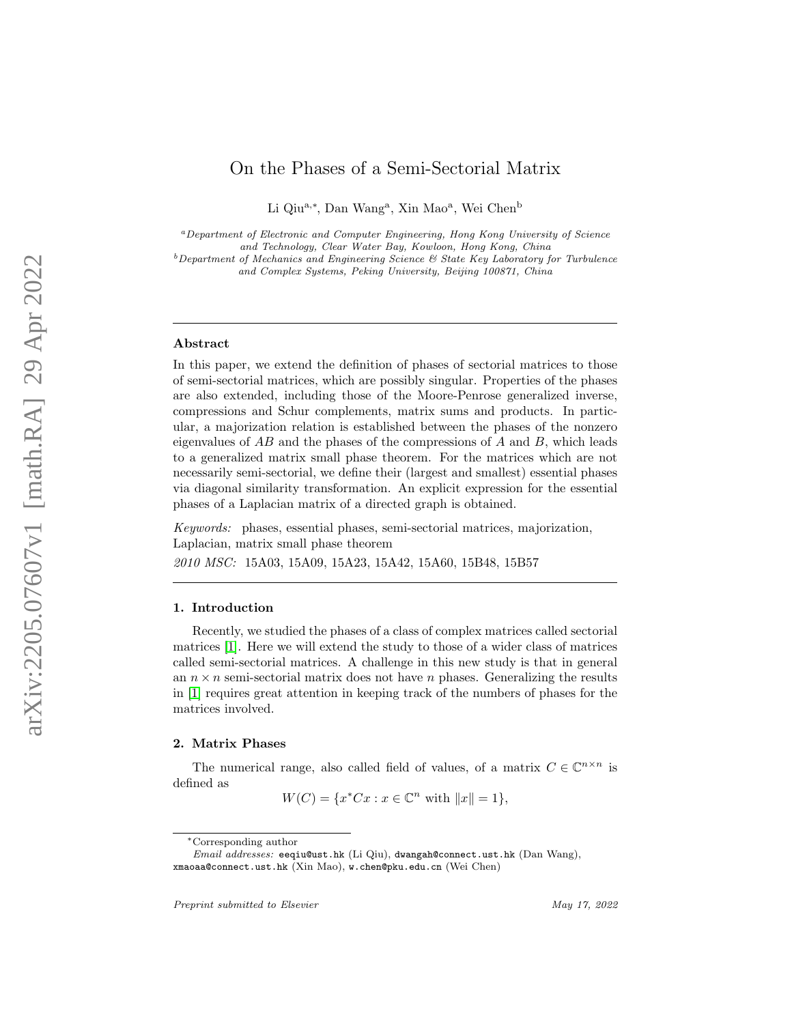# On the Phases of a Semi-Sectorial Matrix

Li Qiu<sup>a,\*</sup>, Dan Wang<sup>a</sup>, Xin Mao<sup>a</sup>, Wei Chen<sup>b</sup>

<sup>a</sup>Department of Electronic and Computer Engineering, Hong Kong University of Science

and Technology, Clear Water Bay, Kowloon, Hong Kong, China

 $b$ Department of Mechanics and Engineering Science & State Key Laboratory for Turbulence and Complex Systems, Peking University, Beijing 100871, China

#### Abstract

In this paper, we extend the definition of phases of sectorial matrices to those of semi-sectorial matrices, which are possibly singular. Properties of the phases are also extended, including those of the Moore-Penrose generalized inverse, compressions and Schur complements, matrix sums and products. In particular, a majorization relation is established between the phases of the nonzero eigenvalues of  $AB$  and the phases of the compressions of  $A$  and  $B$ , which leads to a generalized matrix small phase theorem. For the matrices which are not necessarily semi-sectorial, we define their (largest and smallest) essential phases via diagonal similarity transformation. An explicit expression for the essential phases of a Laplacian matrix of a directed graph is obtained.

Keywords: phases, essential phases, semi-sectorial matrices, majorization, Laplacian, matrix small phase theorem

2010 MSC: 15A03, 15A09, 15A23, 15A42, 15A60, 15B48, 15B57

## 1. Introduction

Recently, we studied the phases of a class of complex matrices called sectorial matrices [\[1\]](#page-15-0). Here we will extend the study to those of a wider class of matrices called semi-sectorial matrices. A challenge in this new study is that in general an  $n \times n$  semi-sectorial matrix does not have n phases. Generalizing the results in [\[1\]](#page-15-0) requires great attention in keeping track of the numbers of phases for the matrices involved.

#### 2. Matrix Phases

The numerical range, also called field of values, of a matrix  $C \in \mathbb{C}^{n \times n}$  is defined as

 $W(C) = \{x^*Cx : x \in \mathbb{C}^n \text{ with } ||x|| = 1\},\$ 

<sup>∗</sup>Corresponding author

Email addresses: eeqiu@ust.hk (Li Qiu), dwangah@connect.ust.hk (Dan Wang), xmaoaa@connect.ust.hk (Xin Mao), w.chen@pku.edu.cn (Wei Chen)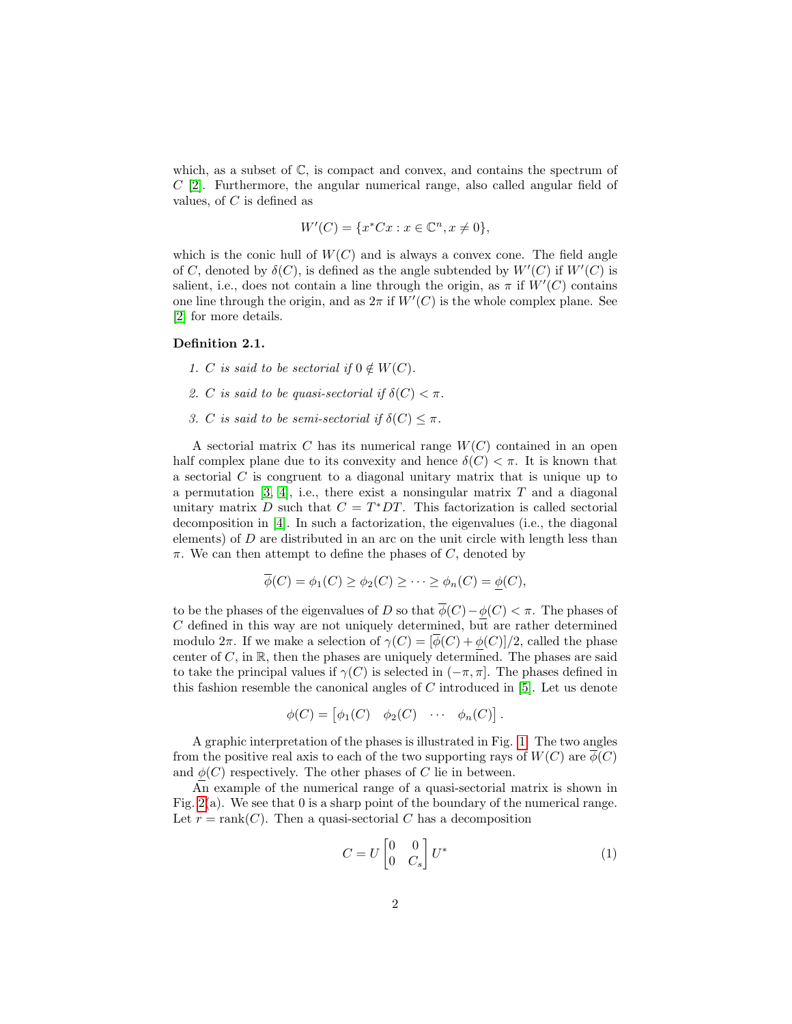which, as a subset of  $\mathbb{C}$ , is compact and convex, and contains the spectrum of C [\[2\]](#page-15-1). Furthermore, the angular numerical range, also called angular field of values, of  $C$  is defined as

$$
W'(C) = \{ x^* C x : x \in \mathbb{C}^n, x \neq 0 \},\
$$

which is the conic hull of  $W(C)$  and is always a convex cone. The field angle of C, denoted by  $\delta(C)$ , is defined as the angle subtended by  $W'(C)$  if  $W'(C)$  is salient, i.e., does not contain a line through the origin, as  $\pi$  if  $W'(C)$  contains one line through the origin, and as  $2\pi$  if  $W'(C)$  is the whole complex plane. See [\[2\]](#page-15-1) for more details.

## Definition 2.1.

- 1. C is said to be sectorial if  $0 \notin W(C)$ .
- 2. C is said to be quasi-sectorial if  $\delta(C) < \pi$ .
- 3. C is said to be semi-sectorial if  $\delta(C) \leq \pi$ .

A sectorial matrix  $C$  has its numerical range  $W(C)$  contained in an open half complex plane due to its convexity and hence  $\delta(C) < \pi$ . It is known that a sectorial C is congruent to a diagonal unitary matrix that is unique up to a permutation  $[3, 4]$  $[3, 4]$ , i.e., there exist a nonsingular matrix T and a diagonal unitary matrix D such that  $C = T^*DT$ . This factorization is called sectorial decomposition in [\[4\]](#page-15-3). In such a factorization, the eigenvalues (i.e., the diagonal elements) of D are distributed in an arc on the unit circle with length less than  $\pi$ . We can then attempt to define the phases of C, denoted by

$$
\overline{\phi}(C) = \phi_1(C) \ge \phi_2(C) \ge \cdots \ge \phi_n(C) = \phi(C),
$$

to be the phases of the eigenvalues of D so that  $\overline{\phi}(C)-\phi(C)<\pi$ . The phases of  $C$  defined in this way are not uniquely determined, but are rather determined modulo  $2\pi$ . If we make a selection of  $\gamma(C) = [\phi(C) + \phi(C)]/2$ , called the phase center of  $C$ , in  $\mathbb{R}$ , then the phases are uniquely determined. The phases are said to take the principal values if  $\gamma(C)$  is selected in  $(-\pi, \pi]$ . The phases defined in this fashion resemble the canonical angles of  $C$  introduced in [\[5\]](#page-15-4). Let us denote

$$
\phi(C) = \begin{bmatrix} \phi_1(C) & \phi_2(C) & \cdots & \phi_n(C) \end{bmatrix}.
$$

A graphic interpretation of the phases is illustrated in Fig. [1.](#page-2-0) The two angles from the positive real axis to each of the two supporting rays of  $W(C)$  are  $\phi(C)$ and  $\phi(C)$  respectively. The other phases of C lie in between.

An example of the numerical range of a quasi-sectorial matrix is shown in Fig. [2\(](#page-2-1)a). We see that 0 is a sharp point of the boundary of the numerical range. Let  $r = \text{rank}(C)$ . Then a quasi-sectorial C has a decomposition

<span id="page-1-0"></span>
$$
C = U \begin{bmatrix} 0 & 0 \\ 0 & C_s \end{bmatrix} U^*
$$
 (1)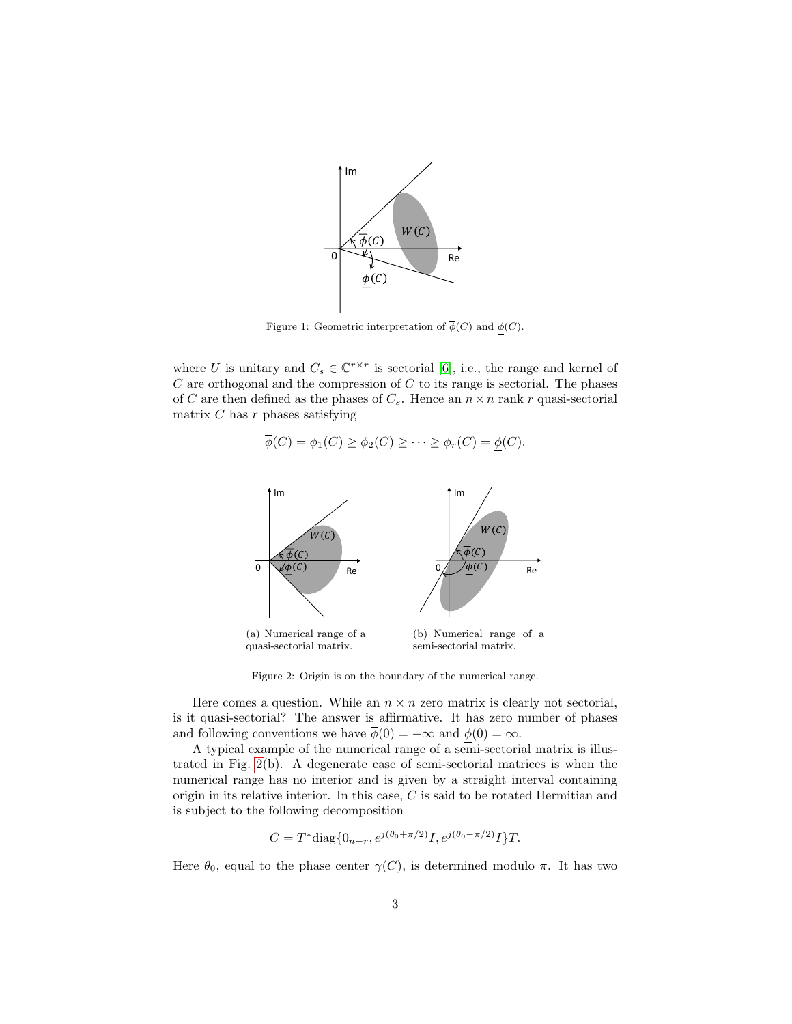

<span id="page-2-0"></span>Figure 1: Geometric interpretation of  $\overline{\phi}(C)$  and  $\phi(C)$ .

where U is unitary and  $C_s \in \mathbb{C}^{r \times r}$  is sectorial [\[6\]](#page-15-5), i.e., the range and kernel of  $C$  are orthogonal and the compression of  $C$  to its range is sectorial. The phases of C are then defined as the phases of  $C_s$ . Hence an  $n \times n$  rank r quasi-sectorial matrix  $C$  has  $r$  phases satisfying

$$
\overline{\phi}(C) = \phi_1(C) \ge \phi_2(C) \ge \cdots \ge \phi_r(C) = \underline{\phi}(C).
$$



<span id="page-2-1"></span>Figure 2: Origin is on the boundary of the numerical range.

Here comes a question. While an  $n \times n$  zero matrix is clearly not sectorial, is it quasi-sectorial? The answer is affirmative. It has zero number of phases and following conventions we have  $\overline{\phi}(0) = -\infty$  and  $\phi(0) = \infty$ .

A typical example of the numerical range of a semi-sectorial matrix is illustrated in Fig. [2\(](#page-2-1)b). A degenerate case of semi-sectorial matrices is when the numerical range has no interior and is given by a straight interval containing origin in its relative interior. In this case, C is said to be rotated Hermitian and is subject to the following decomposition

$$
C = T^* \text{diag}\{0_{n-r}, e^{j(\theta_0 + \pi/2)}I, e^{j(\theta_0 - \pi/2)}I\}T.
$$

Here  $\theta_0$ , equal to the phase center  $\gamma(C)$ , is determined modulo π. It has two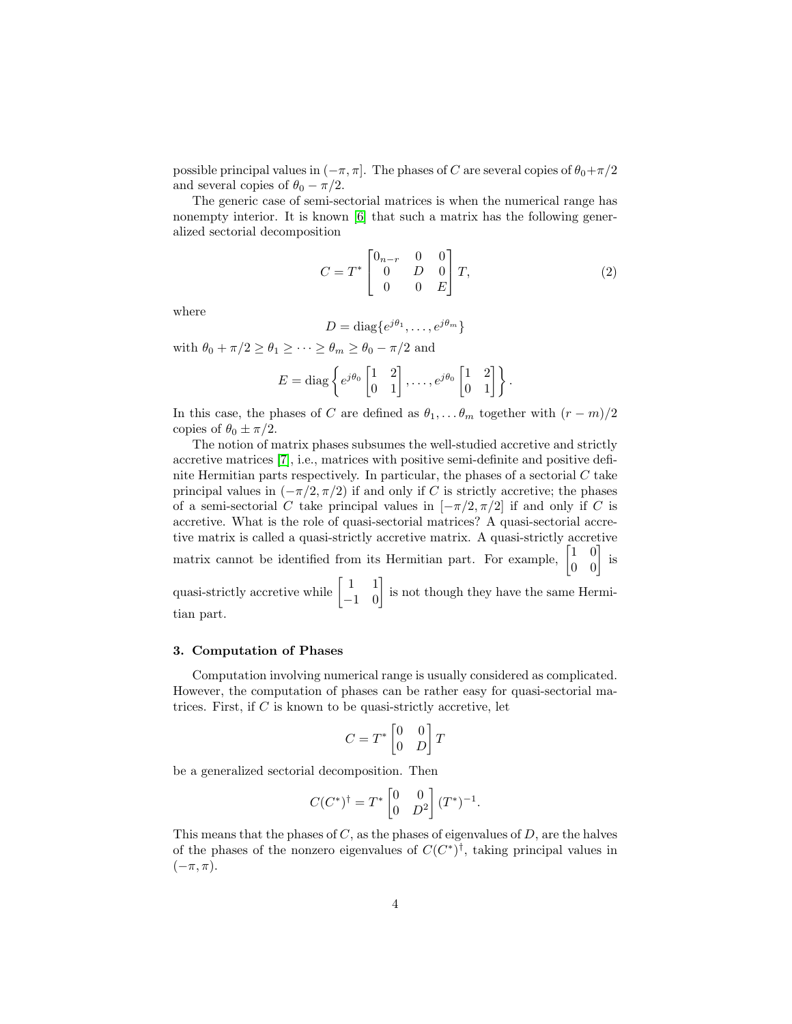possible principal values in  $(-\pi, \pi]$ . The phases of C are several copies of  $\theta_0 + \pi/2$ and several copies of  $\theta_0 - \pi/2$ .

The generic case of semi-sectorial matrices is when the numerical range has nonempty interior. It is known [\[6\]](#page-15-5) that such a matrix has the following generalized sectorial decomposition

<span id="page-3-0"></span>
$$
C = T^* \begin{bmatrix} 0_{n-r} & 0 & 0 \\ 0 & D & 0 \\ 0 & 0 & E \end{bmatrix} T,
$$
 (2)

where

$$
D = \text{diag}\{e^{j\theta_1}, \dots, e^{j\theta_m}\}
$$

with  $\theta_0 + \pi/2 \ge \theta_1 \ge \cdots \ge \theta_m \ge \theta_0 - \pi/2$  and

$$
E = \text{diag}\left\{e^{j\theta_0} \begin{bmatrix} 1 & 2 \\ 0 & 1 \end{bmatrix}, \dots, e^{j\theta_0} \begin{bmatrix} 1 & 2 \\ 0 & 1 \end{bmatrix}\right\}.
$$

In this case, the phases of C are defined as  $\theta_1, \ldots, \theta_m$  together with  $(r - m)/2$ copies of  $\theta_0 \pm \pi/2$ .

The notion of matrix phases subsumes the well-studied accretive and strictly accretive matrices [\[7\]](#page-15-6), i.e., matrices with positive semi-definite and positive definite Hermitian parts respectively. In particular, the phases of a sectorial  $C$  take principal values in  $(-\pi/2, \pi/2)$  if and only if C is strictly accretive; the phases of a semi-sectorial C take principal values in  $[-\pi/2, \pi/2]$  if and only if C is accretive. What is the role of quasi-sectorial matrices? A quasi-sectorial accretive matrix is called a quasi-strictly accretive matrix. A quasi-strictly accretive matrix cannot be identified from its Hermitian part. For example,  $\begin{bmatrix} 1 & 0 \\ 0 & 0 \end{bmatrix}$  is quasi-strictly accretive while  $\begin{bmatrix} 1 & 1 \\ -1 & 0 \end{bmatrix}$  is not though they have the same Hermitian part.

## 3. Computation of Phases

Computation involving numerical range is usually considered as complicated. However, the computation of phases can be rather easy for quasi-sectorial matrices. First, if  $C$  is known to be quasi-strictly accretive, let

$$
C=T^*\begin{bmatrix}0&0\\0&D\end{bmatrix}T
$$

be a generalized sectorial decomposition. Then

$$
C(C^*)^{\dagger} = T^* \begin{bmatrix} 0 & 0 \\ 0 & D^2 \end{bmatrix} (T^*)^{-1}.
$$

This means that the phases of  $C$ , as the phases of eigenvalues of  $D$ , are the halves of the phases of the nonzero eigenvalues of  $C(C^*)^{\dagger}$ , taking principal values in  $(-\pi, \pi)$ .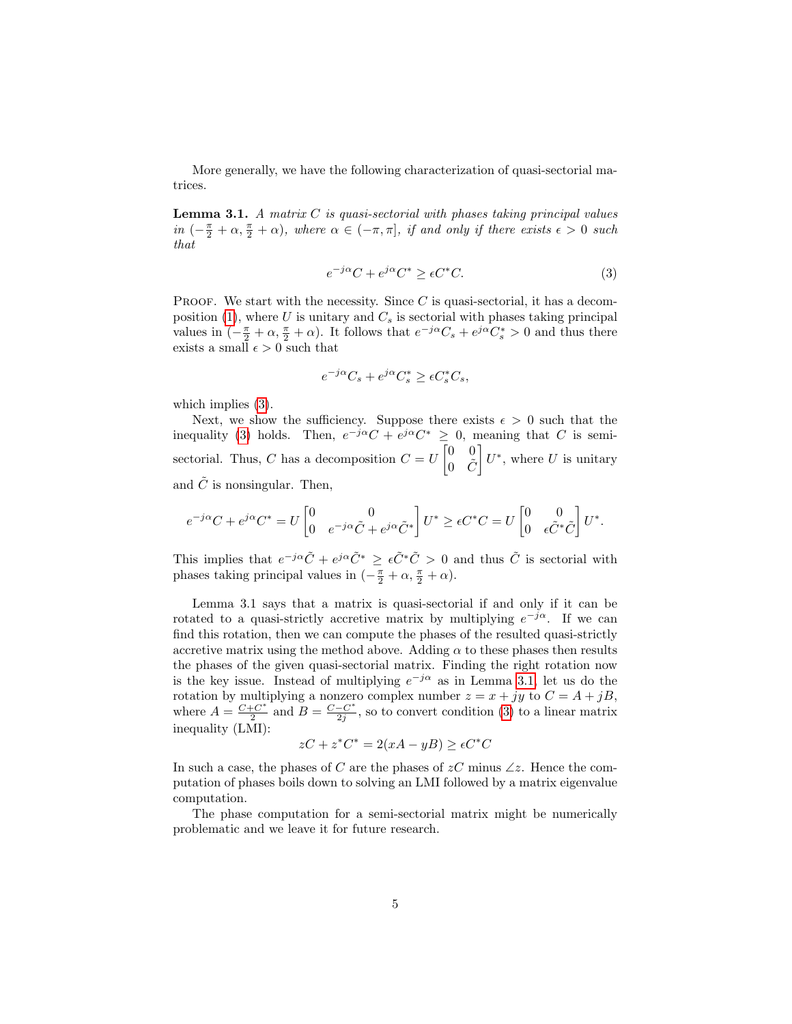More generally, we have the following characterization of quasi-sectorial matrices.

<span id="page-4-1"></span>**Lemma 3.1.** A matrix  $C$  is quasi-sectorial with phases taking principal values in  $(-\frac{\pi}{2} + \alpha, \frac{\pi}{2} + \alpha)$ , where  $\alpha \in (-\pi, \pi]$ , if and only if there exists  $\epsilon > 0$  such that

<span id="page-4-0"></span>
$$
e^{-j\alpha}C + e^{j\alpha}C^* \ge \epsilon C^*C. \tag{3}
$$

PROOF. We start with the necessity. Since  $C$  is quasi-sectorial, it has a decom-position [\(1\)](#page-1-0), where U is unitary and  $C_s$  is sectorial with phases taking principal values in  $(-\frac{\pi}{2} + \alpha, \frac{\pi}{2} + \alpha)$ . It follows that  $e^{-j\alpha}C_s + e^{j\alpha}C_s^* > 0$  and thus there exists a small  $\epsilon > 0$  such that

$$
e^{-j\alpha}C_s + e^{j\alpha}C_s^* \ge \epsilon C_s^*C_s,
$$

which implies  $(3)$ .

Next, we show the sufficiency. Suppose there exists  $\epsilon > 0$  such that the inequality [\(3\)](#page-4-0) holds. Then,  $e^{-j\alpha}C + e^{j\alpha}C^* \geq 0$ , meaning that C is semisectorial. Thus, C has a decomposition  $C = U \begin{bmatrix} 0 & 0 \\ 0 & \tilde{c} \end{bmatrix}$  $0 \quad \tilde{C}$  $\bigg] U^*,$  where U is unitary and  $\tilde{C}$  is nonsingular. Then,

$$
e^{-j\alpha}C + e^{j\alpha}C^* = U \begin{bmatrix} 0 & 0 \\ 0 & e^{-j\alpha}\tilde{C} + e^{j\alpha}\tilde{C}^* \end{bmatrix} U^* \geq \epsilon C^*C = U \begin{bmatrix} 0 & 0 \\ 0 & \epsilon \tilde{C}^*\tilde{C} \end{bmatrix} U^*.
$$

This implies that  $e^{-j\alpha}\tilde{C} + e^{j\alpha}\tilde{C}^* \geq \epsilon \tilde{C}^* \tilde{C} > 0$  and thus  $\tilde{C}$  is sectorial with phases taking principal values in  $\left(-\frac{\pi}{2} + \alpha, \frac{\pi}{2} + \alpha\right)$ .

Lemma 3.1 says that a matrix is quasi-sectorial if and only if it can be rotated to a quasi-strictly accretive matrix by multiplying  $e^{-j\alpha}$ . If we can find this rotation, then we can compute the phases of the resulted quasi-strictly accretive matrix using the method above. Adding  $\alpha$  to these phases then results the phases of the given quasi-sectorial matrix. Finding the right rotation now is the key issue. Instead of multiplying  $e^{-j\alpha}$  as in Lemma [3.1,](#page-4-1) let us do the rotation by multiplying a nonzero complex number  $z = x + jy$  to  $C = A + jB$ , where  $A = \frac{C + C^*}{2}$  $\frac{C}{2}^+$  and  $B = \frac{C - C^*}{2j}$  $\frac{-C^*}{2j}$ , so to convert condition [\(3\)](#page-4-0) to a linear matrix inequality (LMI):

$$
zC + z^*C^* = 2(xA - yB) \ge \epsilon C^*C
$$

In such a case, the phases of C are the phases of  $zC$  minus  $\angle z$ . Hence the computation of phases boils down to solving an LMI followed by a matrix eigenvalue computation.

The phase computation for a semi-sectorial matrix might be numerically problematic and we leave it for future research.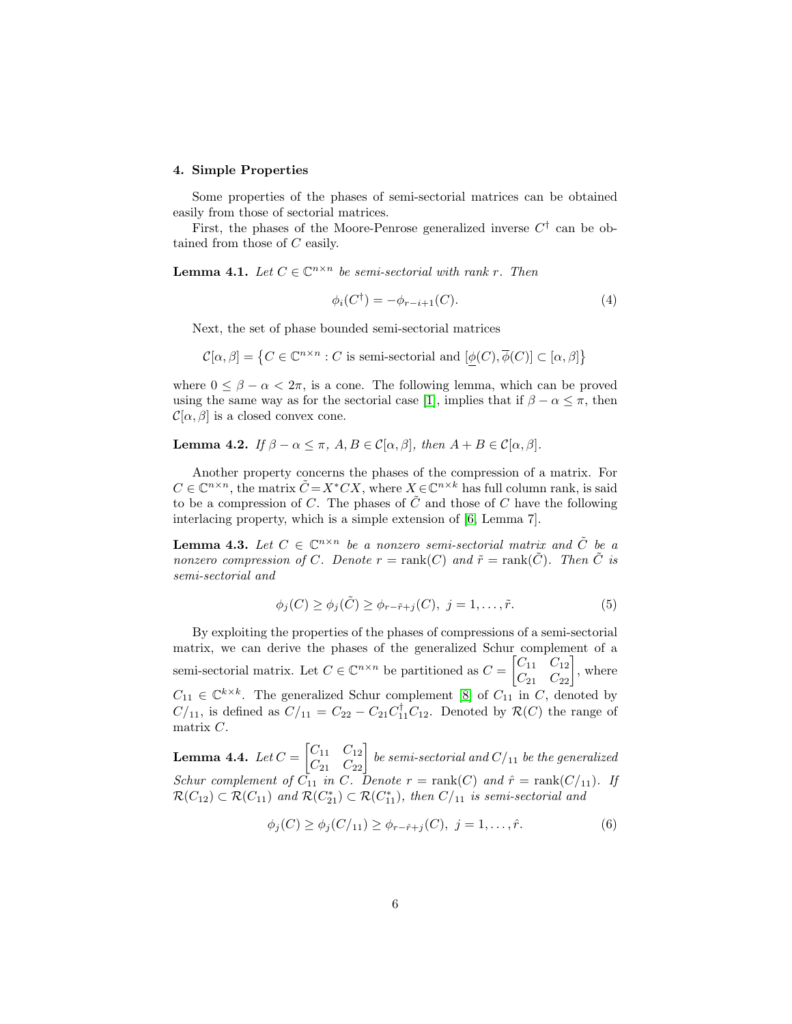## 4. Simple Properties

Some properties of the phases of semi-sectorial matrices can be obtained easily from those of sectorial matrices.

First, the phases of the Moore-Penrose generalized inverse  $C^{\dagger}$  can be obtained from those of C easily.

<span id="page-5-0"></span>**Lemma 4.1.** Let  $C \in \mathbb{C}^{n \times n}$  be semi-sectorial with rank r. Then

<span id="page-5-3"></span>
$$
\phi_i(C^{\dagger}) = -\phi_{r-i+1}(C). \tag{4}
$$

Next, the set of phase bounded semi-sectorial matrices

$$
\mathcal{C}[\alpha,\beta] = \{ C \in \mathbb{C}^{n \times n} : C \text{ is semi-sectional and } [\phi(C), \overline{\phi}(C)] \subset [\alpha,\beta] \}
$$

where  $0 \leq \beta - \alpha < 2\pi$ , is a cone. The following lemma, which can be proved using the same way as for the sectorial case [\[1\]](#page-15-0), implies that if  $\beta - \alpha \leq \pi$ , then  $\mathcal{C}[\alpha, \beta]$  is a closed convex cone.

## Lemma 4.2. If  $\beta - \alpha \leq \pi$ ,  $A, B \in \mathcal{C}[\alpha, \beta]$ , then  $A + B \in \mathcal{C}[\alpha, \beta]$ .

Another property concerns the phases of the compression of a matrix. For  $C \in \mathbb{C}^{n \times n}$ , the matrix  $\tilde{C} = X^* C X$ , where  $X \in \mathbb{C}^{n \times k}$  has full column rank, is said to be a compression of C. The phases of  $\tilde{C}$  and those of C have the following interlacing property, which is a simple extension of [\[6,](#page-15-5) Lemma 7].

**Lemma 4.3.** Let  $C \in \mathbb{C}^{n \times n}$  be a nonzero semi-sectorial matrix and  $\tilde{C}$  be a nonzero compression of C. Denote  $r = \text{rank}(C)$  and  $\tilde{r} = \text{rank}(\tilde{C})$ . Then  $\tilde{C}$  is semi-sectorial and

<span id="page-5-2"></span><span id="page-5-1"></span>
$$
\phi_j(C) \ge \phi_j(\tilde{C}) \ge \phi_{r-\tilde{r}+j}(C), \ j = 1, \dots, \tilde{r}.
$$
 (5)

By exploiting the properties of the phases of compressions of a semi-sectorial matrix, we can derive the phases of the generalized Schur complement of a semi-sectorial matrix. Let  $C \in \mathbb{C}^{n \times n}$  be partitioned as  $C = \begin{bmatrix} C_{11} & C_{12} \\ C_{21} & C_{22} \end{bmatrix}$ , where  $C_{11} \in \mathbb{C}^{k \times k}$ . The generalized Schur complement [\[8\]](#page-15-7) of  $C_{11}$  in C, denoted by  $C/_{11}$ , is defined as  $C/_{11} = C_{22} - C_{21}C_{11}^{\dagger}C_{12}$ . Denoted by  $\mathcal{R}(C)$  the range of matrix C.

<span id="page-5-5"></span>**Lemma 4.4.** Let  $C = \begin{bmatrix} C_{11} & C_{12} \ C_{21} & C_{22} \end{bmatrix}$  be semi-sectorial and  $C/_{11}$  be the generalized Schur complement of  $C_{11}$  in C. Denote  $r = \text{rank}(C)$  and  $\hat{r} = \text{rank}(C/_{11})$ . If  $\mathcal{R}(C_{12}) \subset \mathcal{R}(C_{11})$  and  $\mathcal{R}(C_{21}^*) \subset \mathcal{R}(C_{11}^*)$ , then  $C/_{11}$  is semi-sectorial and

<span id="page-5-4"></span>
$$
\phi_j(C) \ge \phi_j(C/_{11}) \ge \phi_{r-\hat{r}+j}(C), \ j = 1, \dots, \hat{r}.
$$
 (6)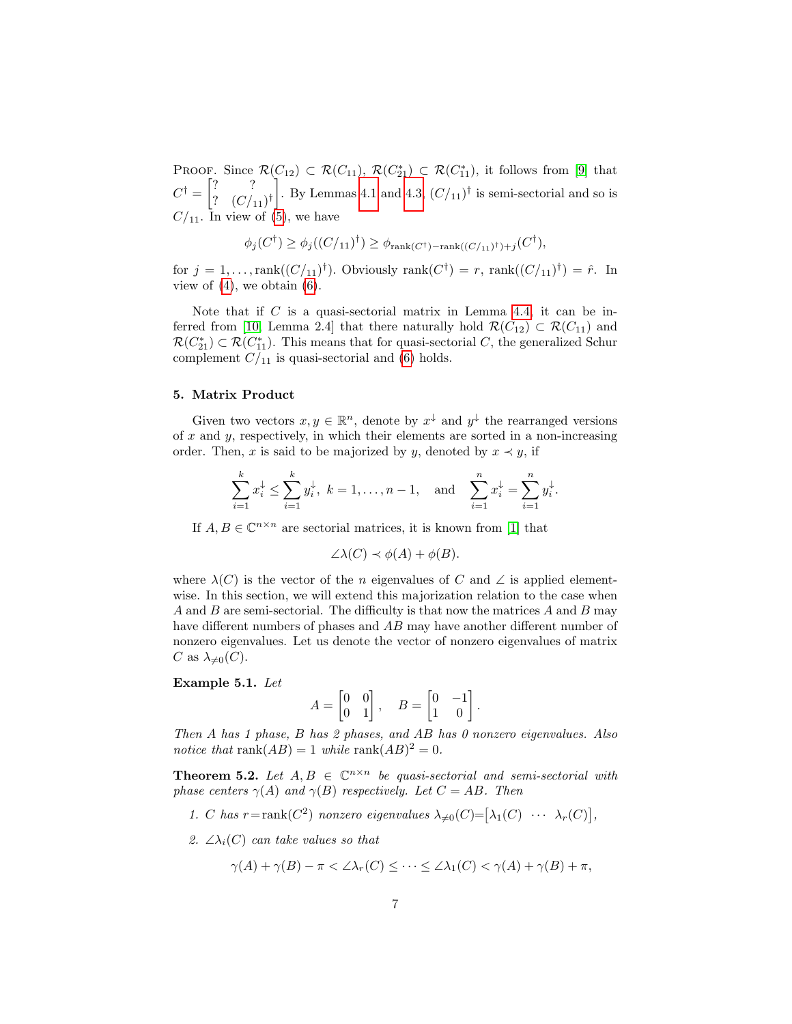PROOF. Since  $\mathcal{R}(C_{12}) \subset \mathcal{R}(C_{11}), \mathcal{R}(C_{21}^*) \subset \mathcal{R}(C_{11}^*)$ , it follows from [\[9\]](#page-16-0) that  $C^{\dagger} = \begin{bmatrix} ? & ? \\ ? & \cdot & ? \end{bmatrix}$ ?  $(C/_{11})^{\dagger}$ . By Lemmas [4.1](#page-5-0) and [4.3,](#page-5-1)  $(C/_{11})^{\dagger}$  is semi-sectorial and so is  $C/_{11}$ . In view of [\(5\)](#page-5-2), we have

$$
\phi_j(C^{\dagger}) \ge \phi_j((C/_{11})^{\dagger}) \ge \phi_{\text{rank}(C^{\dagger})-\text{rank}((C/_{11})^{\dagger})+j}(C^{\dagger}),
$$

for  $j = 1, \ldots, \text{rank}((C/_{11})^{\dagger})$ . Obviously  $\text{rank}(C^{\dagger}) = r$ ,  $\text{rank}((C/_{11})^{\dagger}) = \hat{r}$ . In view of  $(4)$ , we obtain  $(6)$ .

Note that if  $C$  is a quasi-sectorial matrix in Lemma [4.4,](#page-5-5) it can be in-ferred from [\[10,](#page-16-1) Lemma 2.4] that there naturally hold  $\mathcal{R}(C_{12}) \subset \mathcal{R}(C_{11})$  and  $\mathcal{R}(C_{21}^*) \subset \mathcal{R}(C_{11}^*)$ . This means that for quasi-sectorial C, the generalized Schur complement  $C/_{11}$  is quasi-sectorial and [\(6\)](#page-5-4) holds.

#### 5. Matrix Product

Given two vectors  $x, y \in \mathbb{R}^n$ , denote by  $x^{\downarrow}$  and  $y^{\downarrow}$  the rearranged versions of  $x$  and  $y$ , respectively, in which their elements are sorted in a non-increasing order. Then, x is said to be majorized by y, denoted by  $x \prec y$ , if

$$
\sum_{i=1}^{k} x_i^{\downarrow} \le \sum_{i=1}^{k} y_i^{\downarrow}, \ k = 1, \dots, n-1, \text{ and } \sum_{i=1}^{n} x_i^{\downarrow} = \sum_{i=1}^{n} y_i^{\downarrow}.
$$

If  $A, B \in \mathbb{C}^{n \times n}$  are sectorial matrices, it is known from [\[1\]](#page-15-0) that

$$
\angle \lambda(C) \prec \phi(A) + \phi(B).
$$

where  $\lambda(C)$  is the vector of the n eigenvalues of C and  $\angle$  is applied elementwise. In this section, we will extend this majorization relation to the case when A and B are semi-sectorial. The difficulty is that now the matrices  $A$  and  $B$  may have different numbers of phases and AB may have another different number of nonzero eigenvalues. Let us denote the vector of nonzero eigenvalues of matrix C as  $\lambda_{\neq 0}(C)$ .

Example 5.1. Let

$$
A = \begin{bmatrix} 0 & 0 \\ 0 & 1 \end{bmatrix}, \quad B = \begin{bmatrix} 0 & -1 \\ 1 & 0 \end{bmatrix}.
$$

Then A has 1 phase, B has 2 phases, and AB has 0 nonzero eigenvalues. Also notice that rank $(AB) = 1$  while rank $(AB)^2 = 0$ .

<span id="page-6-0"></span>**Theorem 5.2.** Let  $A, B \in \mathbb{C}^{n \times n}$  be quasi-sectorial and semi-sectorial with phase centers  $\gamma(A)$  and  $\gamma(B)$  respectively. Let  $C = AB$ . Then

- 1. C has  $r = \text{rank}(C^2)$  nonzero eigenvalues  $\lambda_{\neq 0}(C) = [\lambda_1(C) \cdots \lambda_r(C)],$
- 2.  $\angle \lambda_i(C)$  can take values so that

$$
\gamma(A) + \gamma(B) - \pi < \angle \lambda_r(C) \leq \dots \leq \angle \lambda_1(C) < \gamma(A) + \gamma(B) + \pi,
$$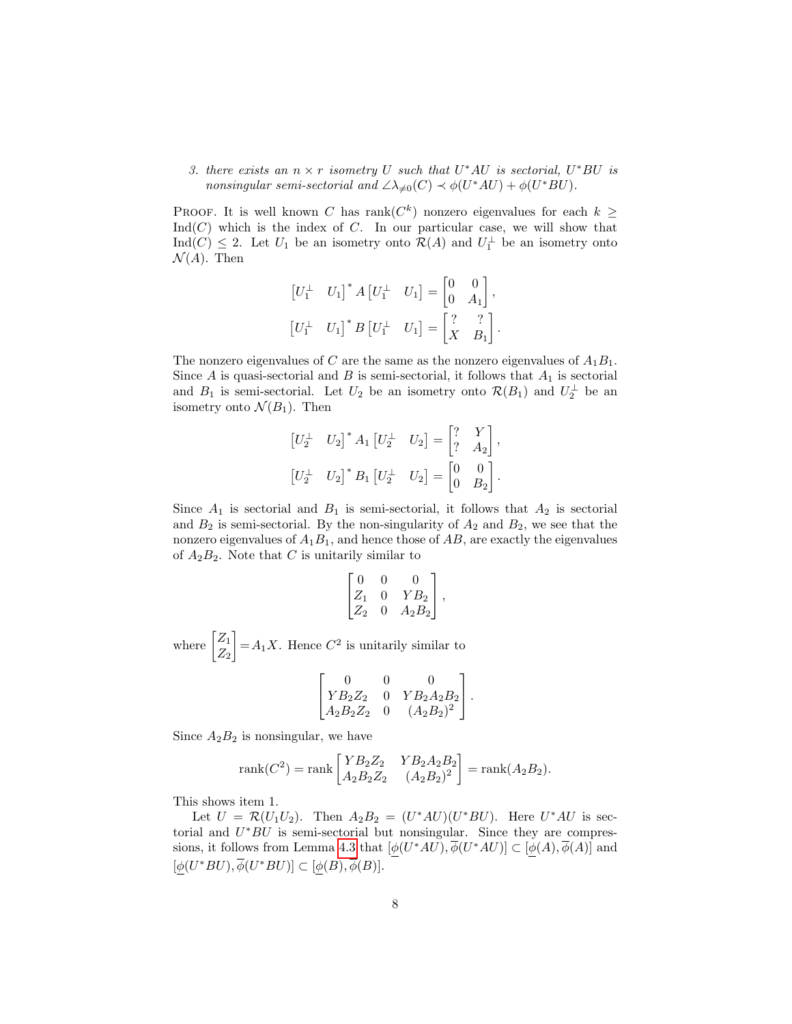3. there exists an  $n \times r$  isometry U such that  $U^*AU$  is sectorial,  $U^*BU$  is nonsingular semi-sectorial and  $\angle \lambda_{\neq 0}(C) \prec \phi(U^*AU) + \phi(U^*BU)$ .

PROOF. It is well known C has rank $(C^k)$  nonzero eigenvalues for each  $k \geq$  $Ind(C)$  which is the index of C. In our particular case, we will show that Ind(C)  $\leq$  2. Let  $U_1$  be an isometry onto  $\mathcal{R}(A)$  and  $U_1^{\perp}$  be an isometry onto  $\mathcal{N}(A)$ . Then

$$
\begin{bmatrix} U_1^\perp & U_1 \end{bmatrix}^* A \begin{bmatrix} U_1^\perp & U_1 \end{bmatrix} = \begin{bmatrix} 0 & 0 \\ 0 & A_1 \end{bmatrix},
$$

$$
\begin{bmatrix} U_1^\perp & U_1 \end{bmatrix}^* B \begin{bmatrix} U_1^\perp & U_1 \end{bmatrix} = \begin{bmatrix} ? & ? \\ X & B_1 \end{bmatrix}.
$$

The nonzero eigenvalues of C are the same as the nonzero eigenvalues of  $A_1B_1$ . Since  $A$  is quasi-sectorial and  $B$  is semi-sectorial, it follows that  $A_1$  is sectorial and  $B_1$  is semi-sectorial. Let  $U_2$  be an isometry onto  $\mathcal{R}(B_1)$  and  $U_2^{\perp}$  be an isometry onto  $\mathcal{N}(B_1)$ . Then

$$
\begin{bmatrix} U_2^{\perp} & U_2 \end{bmatrix}^* A_1 \begin{bmatrix} U_2^{\perp} & U_2 \end{bmatrix} = \begin{bmatrix} ? & Y \\ ? & A_2 \end{bmatrix},
$$

$$
\begin{bmatrix} U_2^{\perp} & U_2 \end{bmatrix}^* B_1 \begin{bmatrix} U_2^{\perp} & U_2 \end{bmatrix} = \begin{bmatrix} 0 & 0 \\ 0 & B_2 \end{bmatrix}.
$$

Since  $A_1$  is sectorial and  $B_1$  is semi-sectorial, it follows that  $A_2$  is sectorial and  $B_2$  is semi-sectorial. By the non-singularity of  $A_2$  and  $B_2$ , we see that the nonzero eigenvalues of  $A_1B_1$ , and hence those of  $AB$ , are exactly the eigenvalues of  $A_2B_2$ . Note that C is unitarily similar to

$$
\begin{bmatrix} 0 & 0 & 0 \\ Z_1 & 0 & Y B_2 \\ Z_2 & 0 & A_2 B_2 \end{bmatrix},
$$

where  $\begin{bmatrix} Z_1 \\ Z \end{bmatrix}$  $Z_2$  $\Big] = A_1 X$ . Hence  $C^2$  is unitarily similar to

$$
\begin{bmatrix} 0 & 0 & 0 \ YB_2Z_2 & 0 & YB_2A_2B_2 \ A_2B_2Z_2 & 0 & (A_2B_2)^2 \end{bmatrix}.
$$

Since  $A_2B_2$  is nonsingular, we have

rank
$$
(C^2)
$$
 = rank  $\begin{bmatrix} YB_2Z_2 & YB_2A_2B_2 \ A_2B_2Z_2 & (A_2B_2)^2 \end{bmatrix}$  = rank $(A_2B_2)$ .

This shows item 1.

Let  $U = \mathcal{R}(U_1U_2)$ . Then  $A_2B_2 = (U^*AU)(U^*BU)$ . Here  $U^*AU$  is sectorial and  $U^*BU$  is semi-sectorial but nonsingular. Since they are compres-sions, it follows from Lemma [4.3](#page-5-1) that  $[\phi(U^*AU), \overline{\phi}(U^*AU)] \subset [\phi(A), \overline{\phi}(A)]$  and  $[\phi(U^*BU), \overline{\phi}(U^*BU)] \subset [\phi(B), \overline{\phi}(B)].$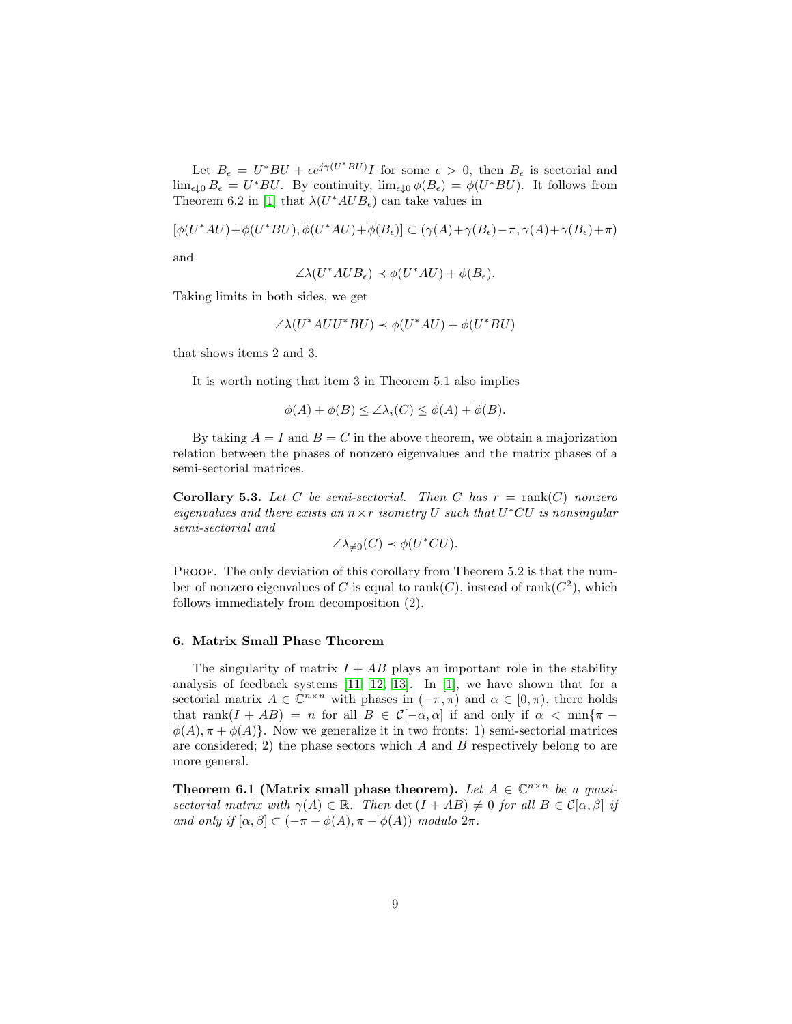Let  $B_{\epsilon} = U^*BU + \epsilon e^{j\gamma(U^*BU)}I$  for some  $\epsilon > 0$ , then  $B_{\epsilon}$  is sectorial and  $\lim_{\epsilon \downarrow 0} B_{\epsilon} = U^*BU$ . By continuity,  $\lim_{\epsilon \downarrow 0} \phi(B_{\epsilon}) = \phi(U^*BU)$ . It follows from Theorem 6.2 in [\[1\]](#page-15-0) that  $\lambda(U^*AUB_{\epsilon})$  can take values in

$$
[\underline{\phi}(U^*AU) + \underline{\phi}(U^*BU), \overline{\phi}(U^*AU) + \overline{\phi}(B_{\epsilon})] \subset (\gamma(A) + \gamma(B_{\epsilon}) - \pi, \gamma(A) + \gamma(B_{\epsilon}) + \pi)
$$

and

$$
\angle \lambda (U^* A U B_{\epsilon}) \prec \phi (U^* A U) + \phi (B_{\epsilon}).
$$

Taking limits in both sides, we get

$$
\angle\lambda(U^*AUU^*BU) \prec \phi(U^*AU) + \phi(U^*BU)
$$

that shows items 2 and 3.

It is worth noting that item 3 in Theorem 5.1 also implies

$$
\phi(A) + \phi(B) \le \angle \lambda_i(C) \le \overline{\phi}(A) + \overline{\phi}(B).
$$

By taking  $A = I$  and  $B = C$  in the above theorem, we obtain a majorization relation between the phases of nonzero eigenvalues and the matrix phases of a semi-sectorial matrices.

**Corollary 5.3.** Let C be semi-sectorial. Then C has  $r = \text{rank}(C)$  nonzero eigenvalues and there exists an  $n \times r$  isometry U such that  $U^*CU$  is nonsingular semi-sectorial and

$$
\angle\lambda_{\neq 0}(C) \prec \phi(U^*CU).
$$

PROOF. The only deviation of this corollary from Theorem 5.2 is that the number of nonzero eigenvalues of C is equal to  $rank(C)$ , instead of  $rank(C^2)$ , which follows immediately from decomposition (2).

## 6. Matrix Small Phase Theorem

The singularity of matrix  $I + AB$  plays an important role in the stability analysis of feedback systems [\[11,](#page-16-2) [12,](#page-16-3) [13\]](#page-16-4). In [\[1\]](#page-15-0), we have shown that for a sectorial matrix  $A \in \mathbb{C}^{n \times n}$  with phases in  $(-\pi, \pi)$  and  $\alpha \in [0, \pi)$ , there holds that rank $(I + AB) = n$  for all  $B \in C[-\alpha, \alpha]$  if and only if  $\alpha < \min\{\pi \phi(A), \pi + \phi(A)$ . Now we generalize it in two fronts: 1) semi-sectorial matrices are considered; 2) the phase sectors which  $A$  and  $B$  respectively belong to are more general.

Theorem 6.1 (Matrix small phase theorem). Let  $A \in \mathbb{C}^{n \times n}$  be a quasisectorial matrix with  $\gamma(A) \in \mathbb{R}$ . Then det  $(I + AB) \neq 0$  for all  $B \in \mathcal{C}[\alpha, \beta]$  if and only if  $[\alpha, \beta] \subset (-\pi - \phi(A), \pi - \overline{\phi}(A))$  modulo  $2\pi$ .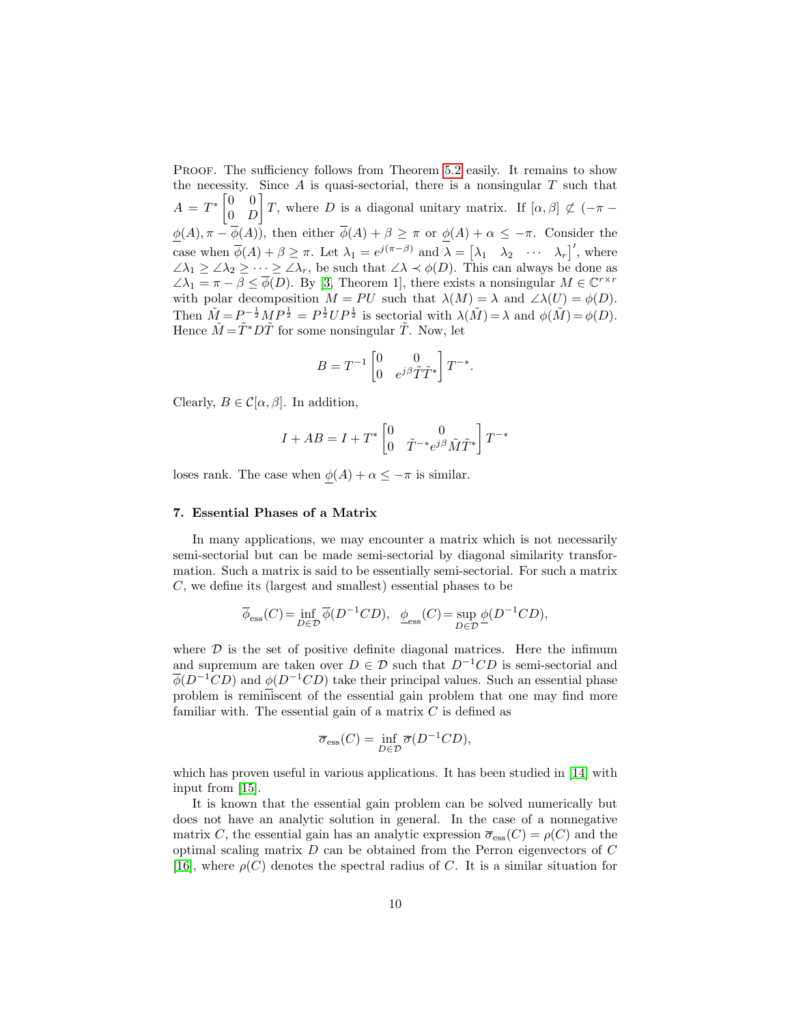PROOF. The sufficiency follows from Theorem [5.2](#page-6-0) easily. It remains to show the necessity. Since  $A$  is quasi-sectorial, there is a nonsingular  $T$  such that  $A = T^* \begin{bmatrix} 0 & 0 \\ 0 & T \end{bmatrix}$  $0$  D T, where D is a diagonal unitary matrix. If  $[\alpha, \beta] \not\subset (-\pi \underline{\phi}(A), \pi - \phi(A)$ , then either  $\phi(A) + \beta \geq \pi$  or  $\underline{\phi}(A) + \alpha \leq -\pi$ . Consider the case when  $\overline{\phi}(A) + \beta \geq \pi$ . Let  $\lambda_1 = e^{j(\pi - \beta)}$  and  $\overline{\lambda} = [\lambda_1 \quad \lambda_2 \quad \cdots \quad \lambda_r]'$ , where  $\angle \lambda_1 \geq \angle \lambda_2 \geq \cdots \geq \angle \lambda_r$ , be such that  $\angle \lambda \prec \phi(D)$ . This can always be done as  $\angle \lambda_1 = \pi - \beta \leq \overline{\phi}(D)$ . By [\[3,](#page-15-2) Theorem 1], there exists a nonsingular  $M \in \mathbb{C}^{r \times r}$ with polar decomposition  $M = PU$  such that  $\lambda(M) = \lambda$  and  $\angle \lambda(U) = \phi(D)$ . Then  $\tilde{M} = P^{-\frac{1}{2}}MP^{\frac{1}{2}} = P^{\frac{1}{2}}UP^{\frac{1}{2}}$  is sectorial with  $\lambda(\tilde{M}) = \lambda$  and  $\phi(\tilde{M}) = \phi(D)$ . Hence  $\tilde{M} = \tilde{T}^* D \tilde{T}$  for some nonsingular  $\tilde{T}$ . Now, let

$$
B = T^{-1} \begin{bmatrix} 0 & 0 \\ 0 & e^{j\beta} \tilde{T} \tilde{T}^* \end{bmatrix} T^{-*}.
$$

Clearly,  $B \in \mathcal{C}[\alpha, \beta]$ . In addition,

$$
I + AB = I + T^* \begin{bmatrix} 0 & 0 \\ 0 & \tilde{T}^{-*} e^{j\beta} \tilde{M} \tilde{T}^* \end{bmatrix} T^{-*}
$$

loses rank. The case when  $\phi(A) + \alpha \leq -\pi$  is similar.

## 7. Essential Phases of a Matrix

In many applications, we may encounter a matrix which is not necessarily semi-sectorial but can be made semi-sectorial by diagonal similarity transformation. Such a matrix is said to be essentially semi-sectorial. For such a matrix C, we define its (largest and smallest) essential phases to be

$$
\overline{\phi}_{\rm ess}(C) = \inf_{D \in \mathcal{D}} \overline{\phi}(D^{-1}CD), \ \ \underline{\phi}_{\rm ess}(C) = \sup_{D \in \mathcal{D}} \underline{\phi}(D^{-1}CD),
$$

where  $D$  is the set of positive definite diagonal matrices. Here the infimum and supremum are taken over  $D \in \mathcal{D}$  such that  $D^{-1}CD$  is semi-sectorial and  $\overline{\phi}(D^{-1}CD)$  and  $\phi(D^{-1}CD)$  take their principal values. Such an essential phase problem is reminiscent of the essential gain problem that one may find more familiar with. The essential gain of a matrix  $C$  is defined as

$$
\overline{\sigma}_{\text{ess}}(C) = \inf_{D \in \mathcal{D}} \overline{\sigma}(D^{-1}CD),
$$

which has proven useful in various applications. It has been studied in [\[14\]](#page-16-5) with input from [\[15\]](#page-16-6).

It is known that the essential gain problem can be solved numerically but does not have an analytic solution in general. In the case of a nonnegative matrix C, the essential gain has an analytic expression  $\overline{\sigma}_{\text{ess}}(C) = \rho(C)$  and the optimal scaling matrix  $D$  can be obtained from the Perron eigenvectors of  $C$ [\[16\]](#page-16-7), where  $\rho(C)$  denotes the spectral radius of C. It is a similar situation for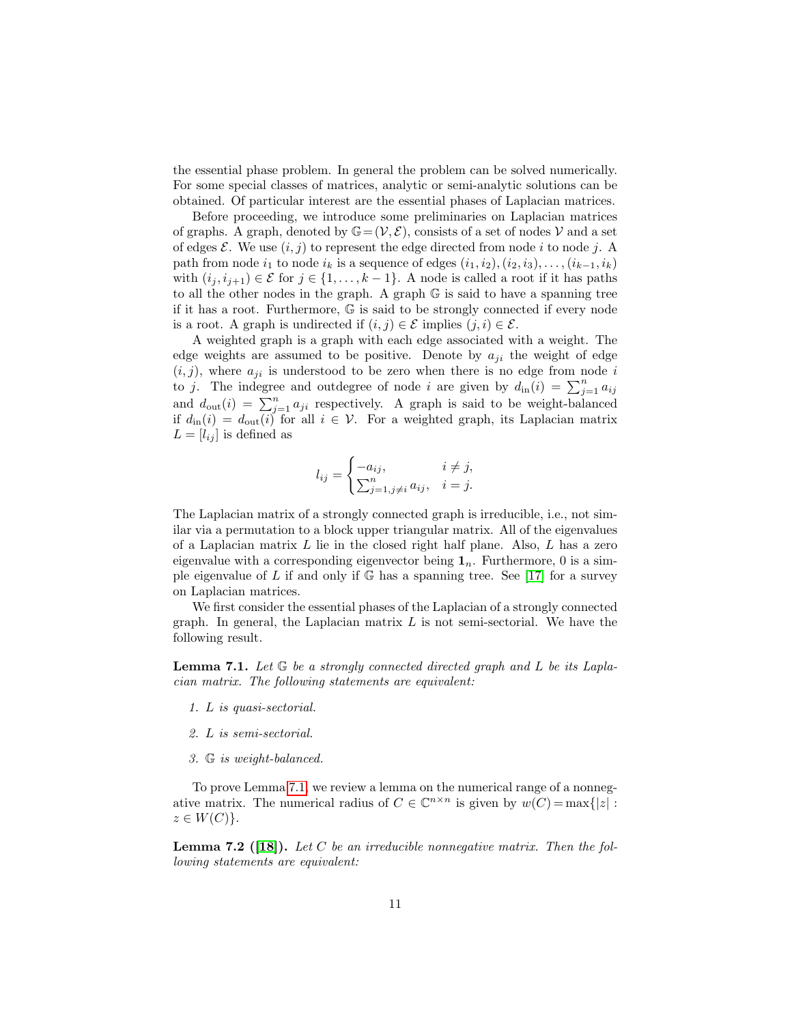the essential phase problem. In general the problem can be solved numerically. For some special classes of matrices, analytic or semi-analytic solutions can be obtained. Of particular interest are the essential phases of Laplacian matrices.

Before proceeding, we introduce some preliminaries on Laplacian matrices of graphs. A graph, denoted by  $\mathbb{G}=(\mathcal{V}, \mathcal{E})$ , consists of a set of nodes  $\mathcal{V}$  and a set of edges  $\mathcal{E}$ . We use  $(i, j)$  to represent the edge directed from node i to node j. A path from node  $i_1$  to node  $i_k$  is a sequence of edges  $(i_1, i_2), (i_2, i_3), \ldots, (i_{k-1}, i_k)$ with  $(i_j, i_{j+1}) \in \mathcal{E}$  for  $j \in \{1, ..., k-1\}$ . A node is called a root if it has paths to all the other nodes in the graph. A graph G is said to have a spanning tree if it has a root. Furthermore, G is said to be strongly connected if every node is a root. A graph is undirected if  $(i, j) \in \mathcal{E}$  implies  $(j, i) \in \mathcal{E}$ .

A weighted graph is a graph with each edge associated with a weight. The edge weights are assumed to be positive. Denote by  $a_{ji}$  the weight of edge  $(i, j)$ , where  $a_{ji}$  is understood to be zero when there is no edge from node i to j. The indegree and outdegree of node i are given by  $d_{\text{in}}(i) = \sum_{j=1}^{n} a_{ij}$ and  $d_{\text{out}}(i) = \sum_{j=1}^{n} a_{ji}$  respectively. A graph is said to be weight-balanced if  $d_{\text{in}}(i) = d_{\text{out}}(i)$  for all  $i \in \mathcal{V}$ . For a weighted graph, its Laplacian matrix  $L = [l_{ij}]$  is defined as

$$
l_{ij} = \begin{cases} -a_{ij}, & i \neq j, \\ \sum_{j=1, j \neq i}^{n} a_{ij}, & i = j. \end{cases}
$$

The Laplacian matrix of a strongly connected graph is irreducible, i.e., not similar via a permutation to a block upper triangular matrix. All of the eigenvalues of a Laplacian matrix  $L$  lie in the closed right half plane. Also,  $L$  has a zero eigenvalue with a corresponding eigenvector being  $\mathbf{1}_n$ . Furthermore, 0 is a simple eigenvalue of L if and only if  $\mathbb{G}$  has a spanning tree. See [\[17\]](#page-16-8) for a survey on Laplacian matrices.

We first consider the essential phases of the Laplacian of a strongly connected graph. In general, the Laplacian matrix  $L$  is not semi-sectorial. We have the following result.

<span id="page-10-0"></span>**Lemma 7.1.** Let  $\mathbb{G}$  be a strongly connected directed graph and L be its Laplacian matrix. The following statements are equivalent:

- 1. L is quasi-sectorial.
- 2. L is semi-sectorial.
- 3. G is weight-balanced.

To prove Lemma [7.1,](#page-10-0) we review a lemma on the numerical range of a nonnegative matrix. The numerical radius of  $C \in \mathbb{C}^{n \times n}$  is given by  $w(C) = \max\{|z| :$  $z \in W(C)$ .

<span id="page-10-1"></span>**Lemma 7.2** ([\[18\]](#page-16-9)). Let C be an irreducible nonnegative matrix. Then the following statements are equivalent: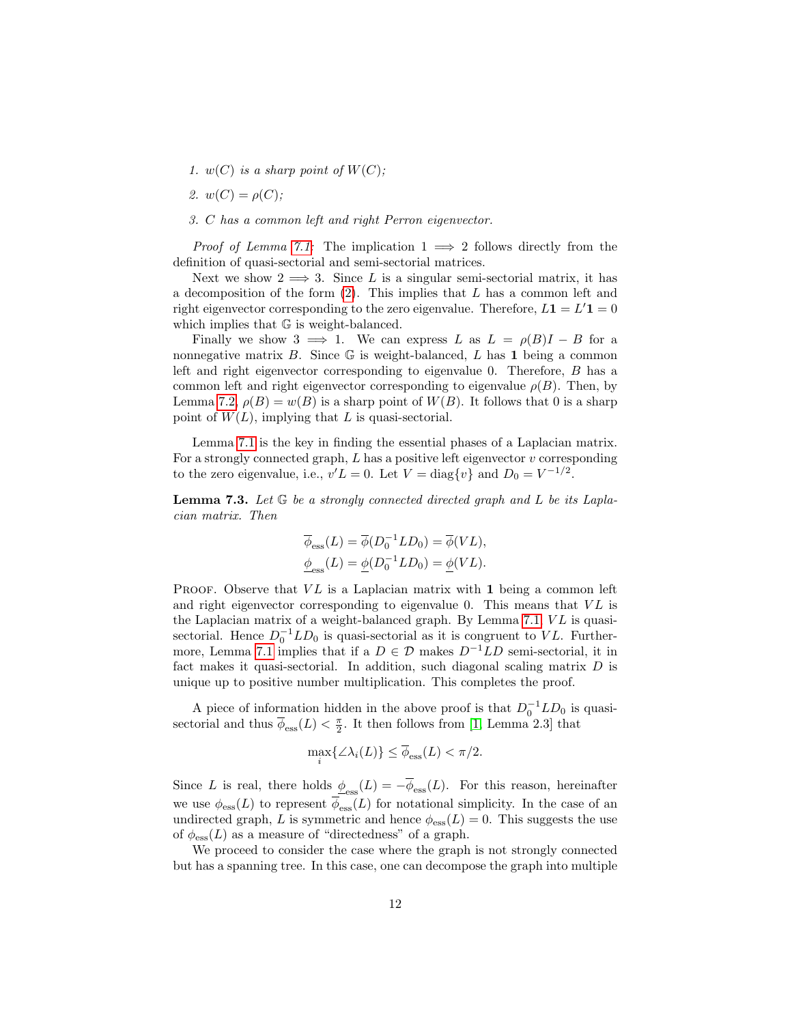- 1.  $w(C)$  is a sharp point of  $W(C)$ ;
- 2.  $w(C) = \rho(C)$ :
- 3. C has a common left and right Perron eigenvector.

*Proof of Lemma [7.1:](#page-10-0)* The implication  $1 \implies 2$  follows directly from the definition of quasi-sectorial and semi-sectorial matrices.

Next we show  $2 \implies 3$ . Since L is a singular semi-sectorial matrix, it has a decomposition of the form  $(2)$ . This implies that L has a common left and right eigenvector corresponding to the zero eigenvalue. Therefore,  $L\mathbf{1} = L'\mathbf{1} = 0$ which implies that  $\mathbb G$  is weight-balanced.

Finally we show 3  $\implies$  1. We can express L as  $L = \rho(B)I - B$  for a nonnegative matrix  $B$ . Since  $\mathbb G$  is weight-balanced,  $L$  has 1 being a common left and right eigenvector corresponding to eigenvalue 0. Therefore, B has a common left and right eigenvector corresponding to eigenvalue  $\rho(B)$ . Then, by Lemma [7.2,](#page-10-1)  $\rho(B) = w(B)$  is a sharp point of  $W(B)$ . It follows that 0 is a sharp point of  $W(L)$ , implying that L is quasi-sectorial.

Lemma [7.1](#page-10-0) is the key in finding the essential phases of a Laplacian matrix. For a strongly connected graph,  $L$  has a positive left eigenvector  $v$  corresponding to the zero eigenvalue, i.e.,  $v'L = 0$ . Let  $V = \text{diag}\{v\}$  and  $D_0 = V^{-1/2}$ .

<span id="page-11-0"></span>**Lemma 7.3.** Let  $\mathbb{G}$  be a strongly connected directed graph and L be its Laplacian matrix. Then

$$
\overline{\phi}_{\mathrm{ess}}(L) = \overline{\phi}(D_0^{-1}LD_0) = \overline{\phi}(VL),
$$
  

$$
\underline{\phi}_{\mathrm{ess}}(L) = \underline{\phi}(D_0^{-1}LD_0) = \underline{\phi}(VL).
$$

PROOF. Observe that  $VL$  is a Laplacian matrix with 1 being a common left and right eigenvector corresponding to eigenvalue  $0$ . This means that  $VL$  is the Laplacian matrix of a weight-balanced graph. By Lemma  $7.1$ ,  $VL$  is quasisectorial. Hence  $D_0^{-1}LD_0$  is quasi-sectorial as it is congruent to VL. Further-more, Lemma [7.1](#page-10-0) implies that if a  $D \in \mathcal{D}$  makes  $D^{-1}LD$  semi-sectorial, it in fact makes it quasi-sectorial. In addition, such diagonal scaling matrix  $D$  is unique up to positive number multiplication. This completes the proof.

A piece of information hidden in the above proof is that  $D_0^{-1}LD_0$  is quasisectorial and thus  $\overline{\phi}_{\text{ess}}(L) < \frac{\pi}{2}$ . It then follows from [\[1,](#page-15-0) Lemma 2.3] that

$$
\max_{i} \{ \angle \lambda_i(L) \} \le \overline{\phi}_{\text{ess}}(L) < \pi/2.
$$

Since L is real, there holds  $\phi_{\text{ess}}(L) = -\phi_{\text{ess}}(L)$ . For this reason, hereinafter we use  $\phi_{\rm ess}(L)$  to represent  $\overline{\phi}_{\rm ess}(L)$  for notational simplicity. In the case of an undirected graph, L is symmetric and hence  $\phi_{\text{ess}}(L) = 0$ . This suggests the use of  $\phi_{\rm ess}(L)$  as a measure of "directedness" of a graph.

We proceed to consider the case where the graph is not strongly connected but has a spanning tree. In this case, one can decompose the graph into multiple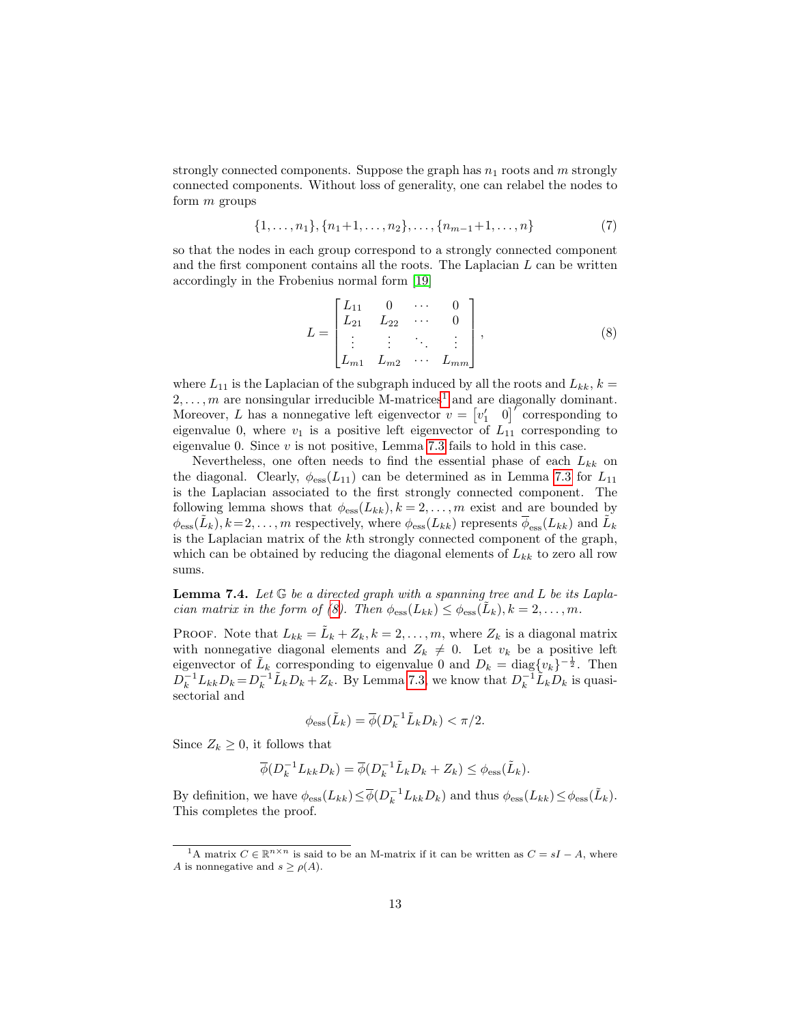strongly connected components. Suppose the graph has  $n_1$  roots and m strongly connected components. Without loss of generality, one can relabel the nodes to form  $m$  groups

$$
\{1, \ldots, n_1\}, \{n_1+1, \ldots, n_2\}, \ldots, \{n_{m-1}+1, \ldots, n\}
$$
 (7)

so that the nodes in each group correspond to a strongly connected component and the first component contains all the roots. The Laplacian  $L$  can be written accordingly in the Frobenius normal form [\[19\]](#page-16-10)

$$
L = \begin{bmatrix} L_{11} & 0 & \cdots & 0 \\ L_{21} & L_{22} & \cdots & 0 \\ \vdots & \vdots & \ddots & \vdots \\ L_{m1} & L_{m2} & \cdots & L_{mm} \end{bmatrix},
$$
 (8)

<span id="page-12-1"></span>where  $L_{11}$  is the Laplacian of the subgraph induced by all the roots and  $L_{kk}$ ,  $k =$  $2, \ldots, m$  are nonsingular irreducible M-matrices<sup>[1](#page-12-0)</sup> and are diagonally dominant. Moreover, L has a nonnegative left eigenvector  $v = \begin{bmatrix} v'_1 & 0 \end{bmatrix}^{\nu}$  corresponding to eigenvalue 0, where  $v_1$  is a positive left eigenvector of  $L_{11}$  corresponding to eigenvalue 0. Since  $v$  is not positive, Lemma [7.3](#page-11-0) fails to hold in this case.

Nevertheless, one often needs to find the essential phase of each  $L_{kk}$  on the diagonal. Clearly,  $\phi_{\rm ess}(L_{11})$  can be determined as in Lemma [7.3](#page-11-0) for  $L_{11}$ is the Laplacian associated to the first strongly connected component. The following lemma shows that  $\phi_{\text{ess}}(L_{kk}), k = 2, \ldots, m$  exist and are bounded by  $\phi_{\text{ess}}(\tilde{L}_k), k=2,\ldots,m$  respectively, where  $\phi_{\text{ess}}(L_{kk})$  represents  $\overline{\phi}_{\text{ess}}(L_{kk})$  and  $\tilde{L}_k$ is the Laplacian matrix of the kth strongly connected component of the graph, which can be obtained by reducing the diagonal elements of  $L_{kk}$  to zero all row sums.

<span id="page-12-2"></span>**Lemma 7.4.** Let  $G$  be a directed graph with a spanning tree and L be its Lapla-cian matrix in the form of [\(8\)](#page-12-1). Then  $\phi_{\text{ess}}(L_{kk}) \leq \phi_{\text{ess}}(\tilde{L}_k)$ ,  $k = 2, \ldots, m$ .

PROOF. Note that  $L_{kk} = \tilde{L}_k + Z_k, k = 2, \ldots, m$ , where  $Z_k$  is a diagonal matrix with nonnegative diagonal elements and  $Z_k \neq 0$ . Let  $v_k$  be a positive left eigenvector of  $\tilde{L}_k$  corresponding to eigenvalue 0 and  $D_k = \text{diag}\{v_k\}^{-\frac{1}{2}}$ . Then  $D_k^{-1}L_{kk}D_k = D_k^{-1}\tilde{L}_kD_k + Z_k$ . By Lemma [7.3,](#page-11-0) we know that  $D_k^{-1}\tilde{L}_kD_k$  is quasisectorial and

$$
\phi_{\rm ess}(\tilde{L}_k) = \overline{\phi}(D_k^{-1}\tilde{L}_k D_k) < \pi/2.
$$

Since  $Z_k \geq 0$ , it follows that

$$
\overline{\phi}(D_k^{-1}L_{kk}D_k) = \overline{\phi}(D_k^{-1}\tilde{L}_kD_k + Z_k) \leq \phi_{\text{ess}}(\tilde{L}_k).
$$

By definition, we have  $\phi_{\text{ess}}(L_{kk}) \leq \overline{\phi}(D_k^{-1}L_{kk}D_k)$  and thus  $\phi_{\text{ess}}(L_{kk}) \leq \phi_{\text{ess}}(\tilde{L}_k)$ . This completes the proof.

<span id="page-12-0"></span><sup>&</sup>lt;sup>1</sup>A matrix  $C \in \mathbb{R}^{n \times n}$  is said to be an M-matrix if it can be written as  $C = sI - A$ , where A is nonnegative and  $s \geq \rho(A)$ .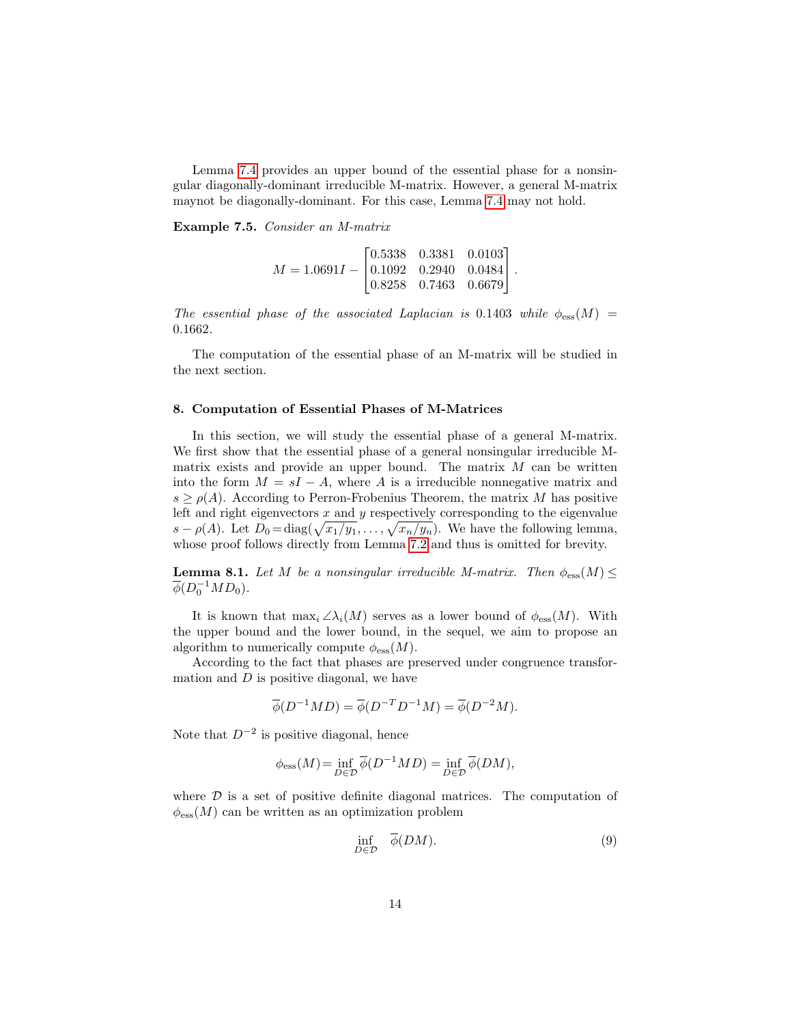Lemma [7.4](#page-12-2) provides an upper bound of the essential phase for a nonsingular diagonally-dominant irreducible M-matrix. However, a general M-matrix maynot be diagonally-dominant. For this case, Lemma [7.4](#page-12-2) may not hold.

Example 7.5. Consider an M-matrix

$$
M = 1.0691I - \begin{bmatrix} 0.5338 & 0.3381 & 0.0103 \\ 0.1092 & 0.2940 & 0.0484 \\ 0.8258 & 0.7463 & 0.6679 \end{bmatrix}.
$$

The essential phase of the associated Laplacian is 0.1403 while  $\phi_{\rm ess}(M)$  = 0.1662.

The computation of the essential phase of an M-matrix will be studied in the next section.

#### 8. Computation of Essential Phases of M-Matrices

In this section, we will study the essential phase of a general M-matrix. We first show that the essential phase of a general nonsingular irreducible Mmatrix exists and provide an upper bound. The matrix  $M$  can be written into the form  $M = sI - A$ , where A is a irreducible nonnegative matrix and  $s \geq \rho(A)$ . According to Perron-Frobenius Theorem, the matrix M has positive left and right eigenvectors  $x$  and  $y$  respectively corresponding to the eigenvalue  $s - \rho(A)$ . Let  $D_0 = \text{diag}(\sqrt{x_1/y_1}, \ldots, \sqrt{x_n/y_n})$ . We have the following lemma, whose proof follows directly from Lemma [7.2](#page-10-1) and thus is omitted for brevity.

**Lemma 8.1.** Let M be a nonsingular irreducible M-matrix. Then  $\phi_{\text{ess}}(M) \leq$  $\overline{\phi}(D_0^{-1}MD_0).$ 

It is known that  $\max_i \angle \lambda_i(M)$  serves as a lower bound of  $\phi_{\text{ess}}(M)$ . With the upper bound and the lower bound, in the sequel, we aim to propose an algorithm to numerically compute  $\phi_{\text{ess}}(M)$ .

According to the fact that phases are preserved under congruence transformation and  $D$  is positive diagonal, we have

$$
\overline{\phi}(D^{-1}MD) = \overline{\phi}(D^{-T}D^{-1}M) = \overline{\phi}(D^{-2}M).
$$

Note that  $D^{-2}$  is positive diagonal, hence

$$
\phi_{\text{ess}}(M) = \inf_{D \in \mathcal{D}} \overline{\phi}(D^{-1}MD) = \inf_{D \in \mathcal{D}} \overline{\phi}(DM),
$$

where  $D$  is a set of positive definite diagonal matrices. The computation of  $\phi_{\text{ess}}(M)$  can be written as an optimization problem

<span id="page-13-0"></span>
$$
\inf_{D \in \mathcal{D}} \quad \overline{\phi}(DM). \tag{9}
$$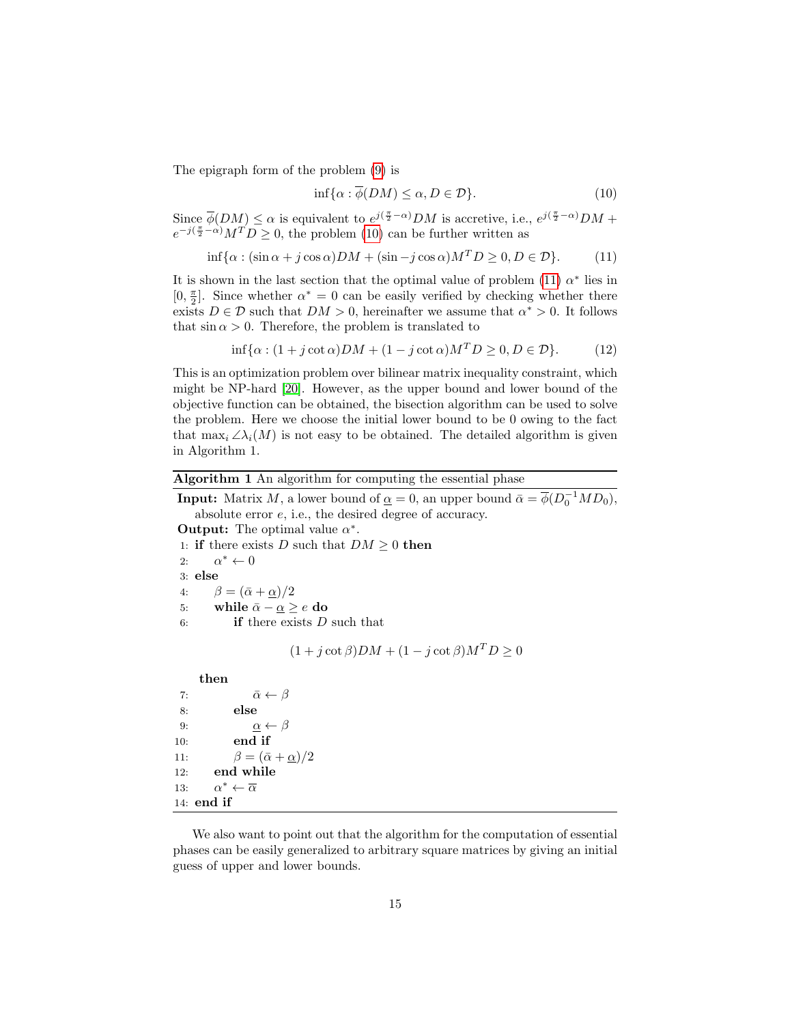The epigraph form of the problem [\(9\)](#page-13-0) is

<span id="page-14-1"></span><span id="page-14-0"></span>
$$
\inf \{ \alpha : \overline{\phi}(DM) \le \alpha, D \in \mathcal{D} \}. \tag{10}
$$

Since  $\overline{\phi}(DM) \le \alpha$  is equivalent to  $e^{j(\frac{\pi}{2}-\alpha)}DM$  is accretive, i.e.,  $e^{j(\frac{\pi}{2}-\alpha)}DM +$  $e^{-j(\frac{\pi}{2}-\alpha)}M^{T}D \geq 0$ , the problem [\(10\)](#page-14-0) can be further written as

$$
\inf \{ \alpha : (\sin \alpha + j \cos \alpha) DM + (\sin - j \cos \alpha) M^T D \ge 0, D \in \mathcal{D} \}. \tag{11}
$$

It is shown in the last section that the optimal value of problem [\(11\)](#page-14-1)  $\alpha^*$  lies in [0,  $\frac{\pi}{2}$ ]. Since whether  $\alpha^* = 0$  can be easily verified by checking whether there exists  $D \in \mathcal{D}$  such that  $DM > 0$ , hereinafter we assume that  $\alpha^* > 0$ . It follows that  $\sin \alpha > 0$ . Therefore, the problem is translated to

$$
\inf \{ \alpha : (1 + j \cot \alpha) DM + (1 - j \cot \alpha) M^T D \ge 0, D \in \mathcal{D} \}. \tag{12}
$$

This is an optimization problem over bilinear matrix inequality constraint, which might be NP-hard [\[20\]](#page-16-11). However, as the upper bound and lower bound of the objective function can be obtained, the bisection algorithm can be used to solve the problem. Here we choose the initial lower bound to be 0 owing to the fact that  $\max_i \angle \lambda_i(M)$  is not easy to be obtained. The detailed algorithm is given in Algorithm 1.

## Algorithm 1 An algorithm for computing the essential phase

**Input:** Matrix M, a lower bound of  $\underline{\alpha} = 0$ , an upper bound  $\overline{\alpha} = \overline{\phi}(D_0^{-1}MD_0)$ , absolute error e, i.e., the desired degree of accuracy.

```
Output: The optimal value \alpha^*.
```
1: if there exists D such that  $DM \geq 0$  then

2:  $\alpha^* \leftarrow 0$ 

3: else

4:  $\beta = (\bar{\alpha} + \alpha)/2$ 

5: while  $\bar{\alpha} - \underline{\alpha} \ge e$  do

6: **if** there exists  $D$  such that

$$
(1 + j \cot \beta) DM + (1 - j \cot \beta) M^T D \ge 0
$$

then 7:  $\bar{\alpha} \leftarrow \beta$ 8: else 9:  $\alpha \leftarrow \beta$ 10: end if 11:  $\beta = (\bar{\alpha} + \underline{\alpha})/2$ 12: end while 13:  $\alpha^* \leftarrow \overline{\alpha}$ 14: end if

We also want to point out that the algorithm for the computation of essential phases can be easily generalized to arbitrary square matrices by giving an initial guess of upper and lower bounds.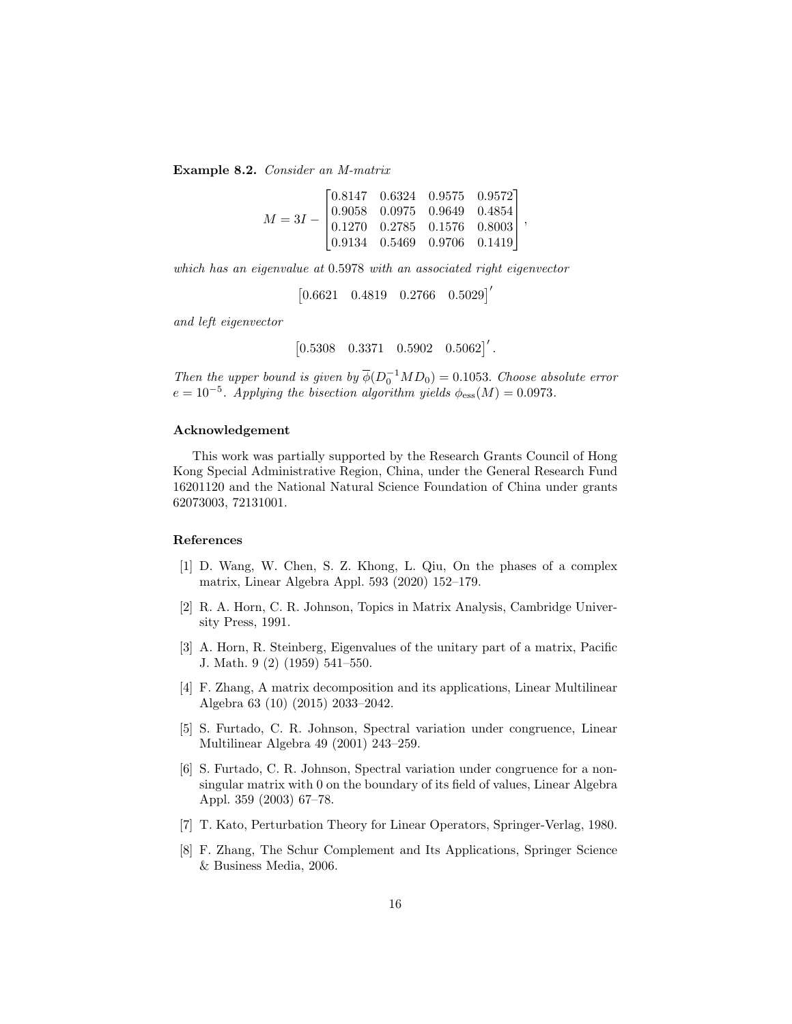Example 8.2. Consider an M-matrix

$$
M=3I-\begin{bmatrix} 0.8147&0.6324&0.9575&0.9572\\0.9058&0.0975&0.9649&0.4854\\0.1270&0.2785&0.1576&0.8003\\0.9134&0.5469&0.9706&0.1419 \end{bmatrix},
$$

which has an eigenvalue at 0.5978 with an associated right eigenvector

 $\begin{bmatrix} 0.6621 & 0.4819 & 0.2766 & 0.5029 \end{bmatrix}'$ 

and left eigenvector

 $\begin{bmatrix} 0.5308 & 0.3371 & 0.5902 & 0.5062 \end{bmatrix}'$ .

Then the upper bound is given by  $\overline{\phi}(D_0^{-1}MD_0) = 0.1053$ . Choose absolute error  $e = 10^{-5}$ . Applying the bisection algorithm yields  $\phi_{\rm ess}(M) = 0.0973$ .

## Acknowledgement

This work was partially supported by the Research Grants Council of Hong Kong Special Administrative Region, China, under the General Research Fund 16201120 and the National Natural Science Foundation of China under grants 62073003, 72131001.

## References

- <span id="page-15-0"></span>[1] D. Wang, W. Chen, S. Z. Khong, L. Qiu, On the phases of a complex matrix, Linear Algebra Appl. 593 (2020) 152–179.
- <span id="page-15-1"></span>[2] R. A. Horn, C. R. Johnson, Topics in Matrix Analysis, Cambridge University Press, 1991.
- <span id="page-15-2"></span>[3] A. Horn, R. Steinberg, Eigenvalues of the unitary part of a matrix, Pacific J. Math. 9 (2) (1959) 541–550.
- <span id="page-15-3"></span>[4] F. Zhang, A matrix decomposition and its applications, Linear Multilinear Algebra 63 (10) (2015) 2033–2042.
- <span id="page-15-4"></span>[5] S. Furtado, C. R. Johnson, Spectral variation under congruence, Linear Multilinear Algebra 49 (2001) 243–259.
- <span id="page-15-5"></span>[6] S. Furtado, C. R. Johnson, Spectral variation under congruence for a nonsingular matrix with 0 on the boundary of its field of values, Linear Algebra Appl. 359 (2003) 67–78.
- <span id="page-15-6"></span>[7] T. Kato, Perturbation Theory for Linear Operators, Springer-Verlag, 1980.
- <span id="page-15-7"></span>[8] F. Zhang, The Schur Complement and Its Applications, Springer Science & Business Media, 2006.